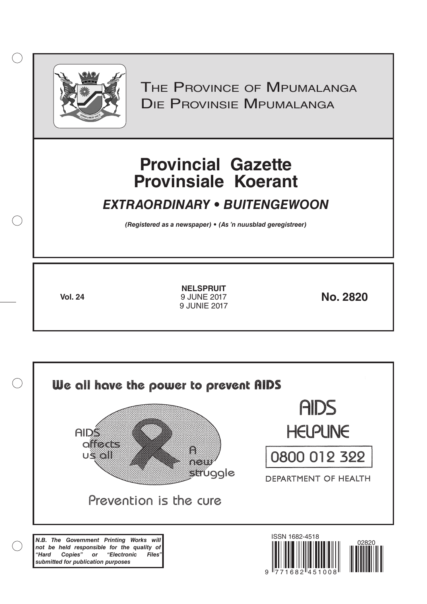

 $( )$ 

THE PROVINCE OF MPUMALANGA Die Provinsie Mpumalanga

# **Provincial Gazette Provinsiale Koerant**

# *EXTRAORDINARY • BUITENGEWOON*

*(Registered as a newspaper) • (As 'n nuusblad geregistreer)*

**Vol. 24 No. 2820 NELSPRUIT** 9 JUNE 2017 9 JUNIE 2017

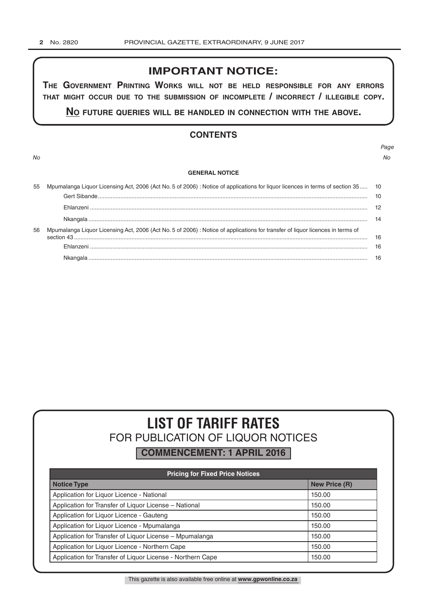# **IMPORTANT NOTICE:**

**The GovernmenT PrinTinG Works Will noT be held resPonsible for any errors ThaT miGhT occur due To The submission of incomPleTe / incorrecT / illeGible coPy.**

**no fuTure queries Will be handled in connecTion WiTh The above.**

# **CONTENTS**

*Page No No*

#### **GENERAL NOTICE**

| 55 | Mpumalanga Liquor Licensing Act, 2006 (Act No. 5 of 2006) : Notice of applications for liquor licences in terms of section 35 10 |    |  |  |
|----|----------------------------------------------------------------------------------------------------------------------------------|----|--|--|
|    |                                                                                                                                  |    |  |  |
|    |                                                                                                                                  |    |  |  |
|    |                                                                                                                                  |    |  |  |
| 56 | Mpumalanga Liquor Licensing Act, 2006 (Act No. 5 of 2006) : Notice of applications for transfer of liquor licences in terms of   |    |  |  |
|    |                                                                                                                                  | 16 |  |  |
|    |                                                                                                                                  | 16 |  |  |

# **LIST OF TARIFF RATES** FOR PUBLICATION OF LIQUOR NOTICES

**COMMENCEMENT: 1 APRIL 2016**

| <b>Pricing for Fixed Price Notices</b>                     |                      |
|------------------------------------------------------------|----------------------|
| <b>Notice Type</b>                                         | <b>New Price (R)</b> |
| Application for Liquor Licence - National                  | 150.00               |
| Application for Transfer of Liquor License - National      | 150.00               |
| Application for Liquor Licence - Gauteng                   | 150.00               |
| Application for Liquor Licence - Mpumalanga                | 150.00               |
| Application for Transfer of Liquor License - Mpumalanga    | 150.00               |
| Application for Liquor Licence - Northern Cape             | 150.00               |
| Application for Transfer of Liquor License - Northern Cape | 150.00               |

This gazette is also available free online at **www.gpwonline.co.za**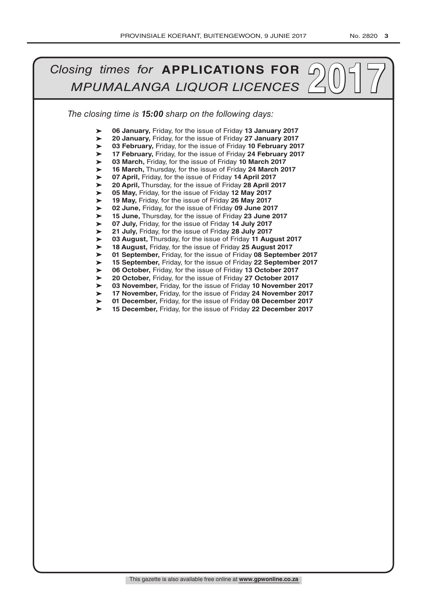#### *The closing time is 15:00 sharp on the following days: 2017**MPUMALANGA LIQUOR LICENCES* ➤ ➤ ➤ ➤ ➤ ➤ ➤ ➤ ➤ ➤ ➤ ➤ ➤ ➤ ➤ ➤ ➤ ➤ ➤ ➤ ➤ ➤ ➤ ➤ **06 January,** Friday, for the issue of Friday **13 January 2017 20 January,** Friday, for the issue of Friday **27 January 2017 03 February,** Friday, for the issue of Friday **10 February 2017 17 February,** Friday, for the issue of Friday **24 February 2017 03 March,** Friday, for the issue of Friday **10 March 2017 16 March,** Thursday, for the issue of Friday **24 March 2017 07 April,** Friday, for the issue of Friday **14 April 2017 20 April,** Thursday, for the issue of Friday **28 April 2017 05 May,** Friday, for the issue of Friday **12 May 2017 19 May,** Friday, for the issue of Friday **26 May 2017 02 June,** Friday, for the issue of Friday **09 June 2017 15 June,** Thursday, for the issue of Friday **23 June 2017 07 July,** Friday, for the issue of Friday **14 July 2017 21 July,** Friday, for the issue of Friday **28 July 2017 03 August,** Thursday, for the issue of Friday **11 August 2017 18 August,** Friday, for the issue of Friday **25 August 2017 01 September,** Friday, for the issue of Friday **08 September 2017 15 September,** Friday, for the issue of Friday **22 September 2017 06 October,** Friday, for the issue of Friday **13 October 2017 20 October,** Friday, for the issue of Friday **27 October 2017 03 November,** Friday, for the issue of Friday **10 November 2017 17 November,** Friday, for the issue of Friday **24 November 2017 01 December,** Friday, for the issue of Friday **08 December 2017 15 December,** Friday, for the issue of Friday **22 December 2017**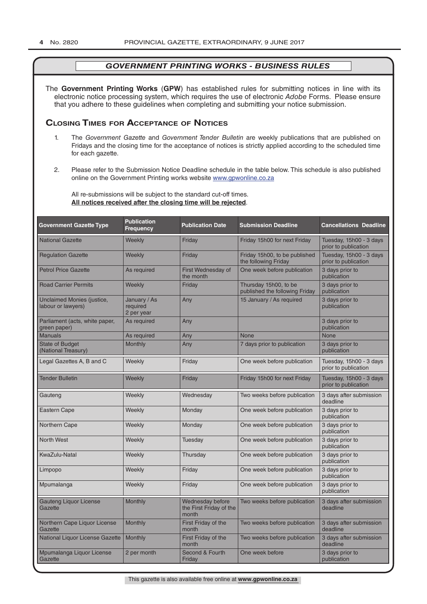The **Government Printing Works** (**GPW**) has established rules for submitting notices in line with its electronic notice processing system, which requires the use of electronic *Adobe* Forms. Please ensure that you adhere to these guidelines when completing and submitting your notice submission.

# **Closing Times for ACCepTAnCe of noTiCes**

- 1. The *Government Gazette* and *Government Tender Bulletin* are weekly publications that are published on Fridays and the closing time for the acceptance of notices is strictly applied according to the scheduled time for each gazette.
- 2. Please refer to the Submission Notice Deadline schedule in the table below. This schedule is also published online on the Government Printing works website www.gpwonline.co.za

All re-submissions will be subject to the standard cut-off times. **All notices received after the closing time will be rejected**.

| <b>Government Gazette Type</b>                          | <b>Publication</b><br><b>Frequency</b> | <b>Publication Date</b>                              | <b>Submission Deadline</b>                              | <b>Cancellations Deadline</b>                   |
|---------------------------------------------------------|----------------------------------------|------------------------------------------------------|---------------------------------------------------------|-------------------------------------------------|
| <b>National Gazette</b>                                 | Weekly                                 | Friday                                               | Friday 15h00 for next Friday                            | Tuesday, 15h00 - 3 days<br>prior to publication |
| <b>Regulation Gazette</b>                               | Weekly                                 | Friday                                               | Friday 15h00, to be published<br>the following Friday   | Tuesday, 15h00 - 3 days<br>prior to publication |
| <b>Petrol Price Gazette</b>                             | As required                            | First Wednesday of<br>the month                      | One week before publication                             | 3 days prior to<br>publication                  |
| <b>Road Carrier Permits</b>                             | Weekly                                 | Friday                                               | Thursday 15h00, to be<br>published the following Friday | 3 days prior to<br>publication                  |
| <b>Unclaimed Monies (justice,</b><br>labour or lawyers) | January / As<br>required<br>2 per year | Any                                                  | 15 January / As required                                | 3 days prior to<br>publication                  |
| Parliament (acts, white paper,<br>green paper)          | As required                            | Any                                                  |                                                         | 3 days prior to<br>publication                  |
| <b>Manuals</b>                                          | As required                            | Any                                                  | <b>None</b>                                             | <b>None</b>                                     |
| <b>State of Budget</b><br>(National Treasury)           | <b>Monthly</b>                         | Any                                                  | 7 days prior to publication                             | 3 days prior to<br>publication                  |
| Legal Gazettes A, B and C                               | Weekly                                 | Friday                                               | One week before publication                             | Tuesday, 15h00 - 3 days<br>prior to publication |
| <b>Tender Bulletin</b>                                  | Weekly                                 | Friday                                               | Friday 15h00 for next Friday                            | Tuesday, 15h00 - 3 days<br>prior to publication |
| Gauteng                                                 | Weekly                                 | Wednesday                                            | Two weeks before publication                            | 3 days after submission<br>deadline             |
| <b>Eastern Cape</b>                                     | Weekly                                 | Monday                                               | One week before publication                             | 3 days prior to<br>publication                  |
| <b>Northern Cape</b>                                    | Weekly                                 | Monday                                               | One week before publication                             | 3 days prior to<br>publication                  |
| <b>North West</b>                                       | Weekly                                 | Tuesday                                              | One week before publication                             | 3 days prior to<br>publication                  |
| KwaZulu-Natal                                           | Weekly                                 | Thursday                                             | One week before publication                             | 3 days prior to<br>publication                  |
| Limpopo                                                 | Weekly                                 | Friday                                               | One week before publication                             | 3 days prior to<br>publication                  |
| Mpumalanga                                              | Weekly                                 | Friday                                               | One week before publication                             | 3 days prior to<br>publication                  |
| <b>Gauteng Liquor License</b><br>Gazette                | Monthly                                | Wednesday before<br>the First Friday of the<br>month | Two weeks before publication                            | 3 days after submission<br>deadline             |
| Northern Cape Liquor License<br>Gazette                 | Monthly                                | First Friday of the<br>month                         | Two weeks before publication                            | 3 days after submission<br>deadline             |
| National Liquor License Gazette                         | Monthly                                | First Friday of the<br>month                         | Two weeks before publication                            | 3 days after submission<br>deadline             |
| Mpumalanga Liquor License<br>Gazette                    | 2 per month                            | Second & Fourth<br>Friday                            | One week before                                         | 3 days prior to<br>publication                  |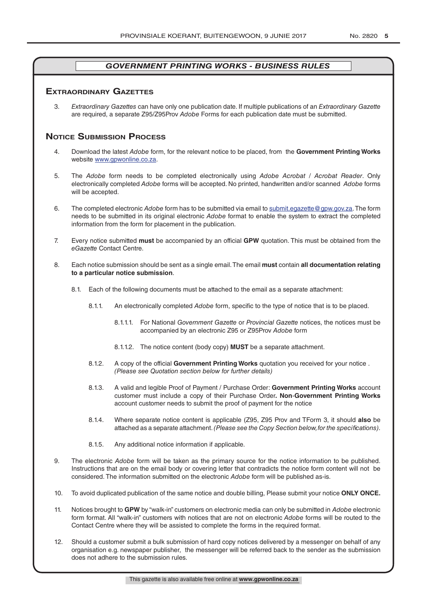# **exTrAordinAry gAzeTTes**

3. *Extraordinary Gazettes* can have only one publication date. If multiple publications of an *Extraordinary Gazette* are required, a separate Z95/Z95Prov *Adobe* Forms for each publication date must be submitted.

# **NOTICE SUBMISSION PROCESS**

- 4. Download the latest *Adobe* form, for the relevant notice to be placed, from the **Government Printing Works** website www.gpwonline.co.za.
- 5. The *Adobe* form needs to be completed electronically using *Adobe Acrobat* / *Acrobat Reader*. Only electronically completed *Adobe* forms will be accepted. No printed, handwritten and/or scanned *Adobe* forms will be accepted.
- 6. The completed electronic *Adobe* form has to be submitted via email to submit.egazette@gpw.gov.za. The form needs to be submitted in its original electronic *Adobe* format to enable the system to extract the completed information from the form for placement in the publication.
- 7. Every notice submitted **must** be accompanied by an official **GPW** quotation. This must be obtained from the *eGazette* Contact Centre.
- 8. Each notice submission should be sent as a single email. The email **must** contain **all documentation relating to a particular notice submission**.
	- 8.1. Each of the following documents must be attached to the email as a separate attachment:
		- 8.1.1. An electronically completed *Adobe* form, specific to the type of notice that is to be placed.
			- 8.1.1.1. For National *Government Gazette* or *Provincial Gazette* notices, the notices must be accompanied by an electronic Z95 or Z95Prov *Adobe* form
			- 8.1.1.2. The notice content (body copy) **MUST** be a separate attachment.
		- 8.1.2. A copy of the official **Government Printing Works** quotation you received for your notice . *(Please see Quotation section below for further details)*
		- 8.1.3. A valid and legible Proof of Payment / Purchase Order: **Government Printing Works** account customer must include a copy of their Purchase Order*.* **Non**-**Government Printing Works** account customer needs to submit the proof of payment for the notice
		- 8.1.4. Where separate notice content is applicable (Z95, Z95 Prov and TForm 3, it should **also** be attached as a separate attachment. *(Please see the Copy Section below, for the specifications)*.
		- 8.1.5. Any additional notice information if applicable.
- 9. The electronic *Adobe* form will be taken as the primary source for the notice information to be published. Instructions that are on the email body or covering letter that contradicts the notice form content will not be considered. The information submitted on the electronic *Adobe* form will be published as-is.
- 10. To avoid duplicated publication of the same notice and double billing, Please submit your notice **ONLY ONCE.**
- 11. Notices brought to **GPW** by "walk-in" customers on electronic media can only be submitted in *Adobe* electronic form format. All "walk-in" customers with notices that are not on electronic *Adobe* forms will be routed to the Contact Centre where they will be assisted to complete the forms in the required format.
- 12. Should a customer submit a bulk submission of hard copy notices delivered by a messenger on behalf of any organisation e.g. newspaper publisher, the messenger will be referred back to the sender as the submission does not adhere to the submission rules.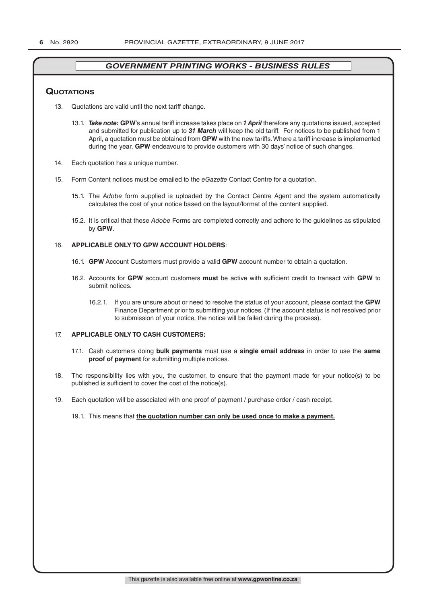### **QuoTATions**

- 13. Quotations are valid until the next tariff change.
	- 13.1. *Take note:* **GPW**'s annual tariff increase takes place on *1 April* therefore any quotations issued, accepted and submitted for publication up to *31 March* will keep the old tariff. For notices to be published from 1 April, a quotation must be obtained from **GPW** with the new tariffs. Where a tariff increase is implemented during the year, **GPW** endeavours to provide customers with 30 days' notice of such changes.
- 14. Each quotation has a unique number.
- 15. Form Content notices must be emailed to the *eGazette* Contact Centre for a quotation.
	- 15.1. The *Adobe* form supplied is uploaded by the Contact Centre Agent and the system automatically calculates the cost of your notice based on the layout/format of the content supplied.
	- 15.2. It is critical that these *Adobe* Forms are completed correctly and adhere to the guidelines as stipulated by **GPW**.

#### 16. **APPLICABLE ONLY TO GPW ACCOUNT HOLDERS**:

- 16.1. **GPW** Account Customers must provide a valid **GPW** account number to obtain a quotation.
- 16.2. Accounts for **GPW** account customers **must** be active with sufficient credit to transact with **GPW** to submit notices.
	- 16.2.1. If you are unsure about or need to resolve the status of your account, please contact the **GPW** Finance Department prior to submitting your notices. (If the account status is not resolved prior to submission of your notice, the notice will be failed during the process).

#### 17. **APPLICABLE ONLY TO CASH CUSTOMERS:**

- 17.1. Cash customers doing **bulk payments** must use a **single email address** in order to use the **same proof of payment** for submitting multiple notices.
- 18. The responsibility lies with you, the customer, to ensure that the payment made for your notice(s) to be published is sufficient to cover the cost of the notice(s).
- 19. Each quotation will be associated with one proof of payment / purchase order / cash receipt.

#### 19.1. This means that **the quotation number can only be used once to make a payment.**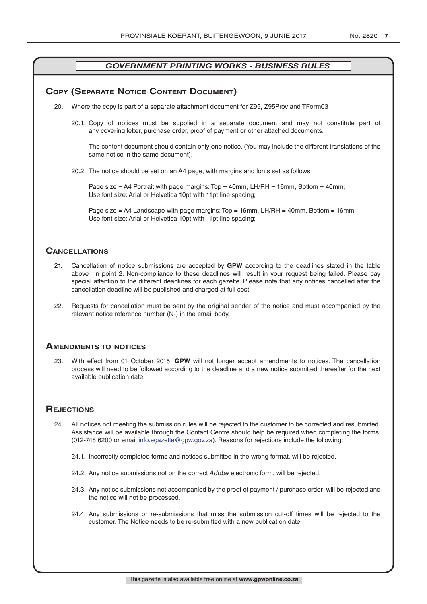# **COPY (SEPARATE NOTICE CONTENT DOCUMENT)**

- 20. Where the copy is part of a separate attachment document for Z95, Z95Prov and TForm03
	- 20.1. Copy of notices must be supplied in a separate document and may not constitute part of any covering letter, purchase order, proof of payment or other attached documents.

The content document should contain only one notice. (You may include the different translations of the same notice in the same document).

20.2. The notice should be set on an A4 page, with margins and fonts set as follows:

Page size  $=$  A4 Portrait with page margins: Top  $=$  40mm, LH/RH  $=$  16mm, Bottom  $=$  40mm; Use font size: Arial or Helvetica 10pt with 11pt line spacing;

Page size = A4 Landscape with page margins: Top = 16mm, LH/RH = 40mm, Bottom = 16mm; Use font size: Arial or Helvetica 10pt with 11pt line spacing;

# **CAnCellATions**

- 21. Cancellation of notice submissions are accepted by **GPW** according to the deadlines stated in the table above in point 2. Non-compliance to these deadlines will result in your request being failed. Please pay special attention to the different deadlines for each gazette. Please note that any notices cancelled after the cancellation deadline will be published and charged at full cost.
- 22. Requests for cancellation must be sent by the original sender of the notice and must accompanied by the relevant notice reference number (N-) in the email body.

### **AmendmenTs To noTiCes**

23. With effect from 01 October 2015, **GPW** will not longer accept amendments to notices. The cancellation process will need to be followed according to the deadline and a new notice submitted thereafter for the next available publication date.

# **REJECTIONS**

- 24. All notices not meeting the submission rules will be rejected to the customer to be corrected and resubmitted. Assistance will be available through the Contact Centre should help be required when completing the forms. (012-748 6200 or email info.egazette@gpw.gov.za). Reasons for rejections include the following:
	- 24.1. Incorrectly completed forms and notices submitted in the wrong format, will be rejected.
	- 24.2. Any notice submissions not on the correct *Adobe* electronic form, will be rejected.
	- 24.3. Any notice submissions not accompanied by the proof of payment / purchase order will be rejected and the notice will not be processed.
	- 24.4. Any submissions or re-submissions that miss the submission cut-off times will be rejected to the customer. The Notice needs to be re-submitted with a new publication date.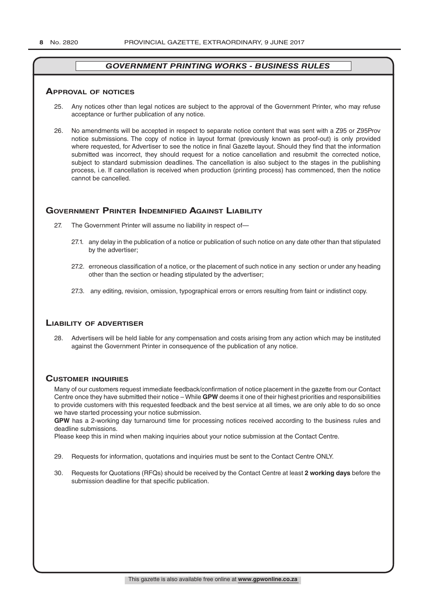#### **ApprovAl of noTiCes**

- 25. Any notices other than legal notices are subject to the approval of the Government Printer, who may refuse acceptance or further publication of any notice.
- 26. No amendments will be accepted in respect to separate notice content that was sent with a Z95 or Z95Prov notice submissions. The copy of notice in layout format (previously known as proof-out) is only provided where requested, for Advertiser to see the notice in final Gazette layout. Should they find that the information submitted was incorrect, they should request for a notice cancellation and resubmit the corrected notice, subject to standard submission deadlines. The cancellation is also subject to the stages in the publishing process, i.e. If cancellation is received when production (printing process) has commenced, then the notice cannot be cancelled.

# **governmenT prinTer indemnified AgAinsT liAbiliTy**

- 27. The Government Printer will assume no liability in respect of—
	- 27.1. any delay in the publication of a notice or publication of such notice on any date other than that stipulated by the advertiser;
	- 27.2. erroneous classification of a notice, or the placement of such notice in any section or under any heading other than the section or heading stipulated by the advertiser;
	- 27.3. any editing, revision, omission, typographical errors or errors resulting from faint or indistinct copy.

# **liAbiliTy of AdverTiser**

28. Advertisers will be held liable for any compensation and costs arising from any action which may be instituted against the Government Printer in consequence of the publication of any notice.

# **CusTomer inQuiries**

Many of our customers request immediate feedback/confirmation of notice placement in the gazette from our Contact Centre once they have submitted their notice – While **GPW** deems it one of their highest priorities and responsibilities to provide customers with this requested feedback and the best service at all times, we are only able to do so once we have started processing your notice submission.

**GPW** has a 2-working day turnaround time for processing notices received according to the business rules and deadline submissions.

Please keep this in mind when making inquiries about your notice submission at the Contact Centre.

- 29. Requests for information, quotations and inquiries must be sent to the Contact Centre ONLY.
- 30. Requests for Quotations (RFQs) should be received by the Contact Centre at least **2 working days** before the submission deadline for that specific publication.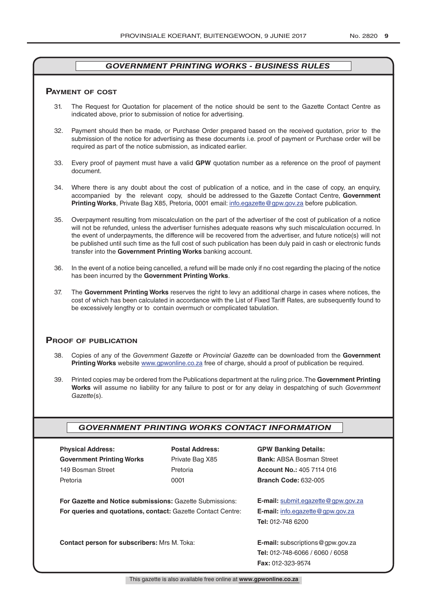#### **pAymenT of CosT**

- 31. The Request for Quotation for placement of the notice should be sent to the Gazette Contact Centre as indicated above, prior to submission of notice for advertising.
- 32. Payment should then be made, or Purchase Order prepared based on the received quotation, prior to the submission of the notice for advertising as these documents i.e. proof of payment or Purchase order will be required as part of the notice submission, as indicated earlier.
- 33. Every proof of payment must have a valid **GPW** quotation number as a reference on the proof of payment document.
- 34. Where there is any doubt about the cost of publication of a notice, and in the case of copy, an enquiry, accompanied by the relevant copy, should be addressed to the Gazette Contact Centre, **Government Printing Works**, Private Bag X85, Pretoria, 0001 email: info.egazette@gpw.gov.za before publication.
- 35. Overpayment resulting from miscalculation on the part of the advertiser of the cost of publication of a notice will not be refunded, unless the advertiser furnishes adequate reasons why such miscalculation occurred. In the event of underpayments, the difference will be recovered from the advertiser, and future notice(s) will not be published until such time as the full cost of such publication has been duly paid in cash or electronic funds transfer into the **Government Printing Works** banking account.
- 36. In the event of a notice being cancelled, a refund will be made only if no cost regarding the placing of the notice has been incurred by the **Government Printing Works**.
- 37. The **Government Printing Works** reserves the right to levy an additional charge in cases where notices, the cost of which has been calculated in accordance with the List of Fixed Tariff Rates, are subsequently found to be excessively lengthy or to contain overmuch or complicated tabulation.

### **proof of publiCATion**

- 38. Copies of any of the *Government Gazette* or *Provincial Gazette* can be downloaded from the **Government Printing Works** website www.gpwonline.co.za free of charge, should a proof of publication be required.
- 39. Printed copies may be ordered from the Publications department at the ruling price. The **Government Printing Works** will assume no liability for any failure to post or for any delay in despatching of such *Government Gazette*(s).

# *GOVERNMENT PRINTING WORKS CONTACT INFORMATION*

| <b>Physical Address:</b>         |  |  |  |  |
|----------------------------------|--|--|--|--|
| <b>Government Printing Works</b> |  |  |  |  |
| 149 Bosman Street                |  |  |  |  |
| Pretoria                         |  |  |  |  |

**For Gazette and Notice submissions:** Gazette Submissions: **E-mail:** submit.egazette@gpw.gov.za **For queries and quotations, contact:** Gazette Contact Centre: **E-mail:** info.egazette@gpw.gov.za

**Contact person for subscribers:** Mrs M. Toka: **E-mail:** subscriptions@gpw.gov.za

# **Physical Address: Postal Address: GPW Banking Details:**

Private Bag X85 **Bank:** ABSA Bosman Street 149 Bosman Street Pretoria **Account No.:** 405 7114 016 Pretoria 0001 **Branch Code:** 632-005

**Tel:** 012-748 6200

**Tel:** 012-748-6066 / 6060 / 6058 **Fax:** 012-323-9574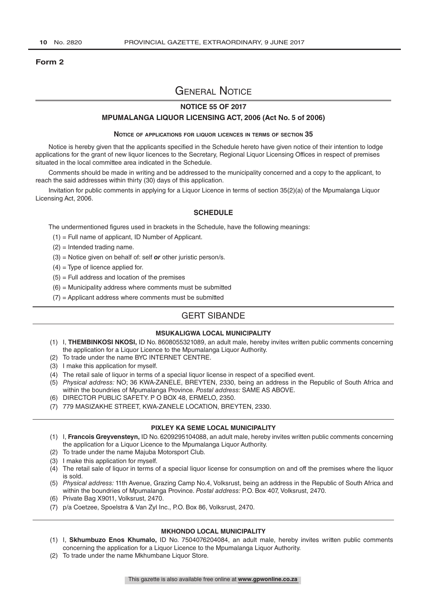#### **Form 2**

# General Notice

### **NOTICE 55 OF 2017**

#### **MPUMALANGA LIQUOR LICENSING ACT, 2006 (Act No. 5 of 2006)**

#### **Notice of applications for liquor licences in terms of section 35**

Notice is hereby given that the applicants specified in the Schedule hereto have given notice of their intention to lodge applications for the grant of new liquor licences to the Secretary, Regional Liquor Licensing Offices in respect of premises situated in the local committee area indicated in the Schedule.

Comments should be made in writing and be addressed to the municipality concerned and a copy to the applicant, to reach the said addresses within thirty (30) days of this application.

Invitation for public comments in applying for a Liquor Licence in terms of section 35(2)(a) of the Mpumalanga Liquor Licensing Act, 2006.

#### **SCHEDULE**

The undermentioned figures used in brackets in the Schedule, have the following meanings:

- (1) = Full name of applicant, ID Number of Applicant.
- (2) = Intended trading name.
- (3) = Notice given on behalf of: self *or* other juristic person/s.
- $(4)$  = Type of licence applied for.
- $(5)$  = Full address and location of the premises
- $(6)$  = Municipality address where comments must be submitted
- $(7)$  = Applicant address where comments must be submitted

# GERT SIBANDE

#### **MSUKALIGWA LOCAL MUNICIPALITY**

- (1) I, **THEMBINKOSI NKOSI,** ID No. 8608055321089, an adult male, hereby invites written public comments concerning the application for a Liquor Licence to the Mpumalanga Liquor Authority.
- (2) To trade under the name BYC INTERNET CENTRE.
- (3) I make this application for myself.
- (4) The retail sale of liquor in terms of a special liquor license in respect of a specified event.
- (5) *Physical address:* NO; 36 KWA-ZANELE, BREYTEN, 2330, being an address in the Republic of South Africa and within the boundries of Mpumalanga Province. *Postal address:* SAME AS ABOVE.
- (6) DIRECTOR PUBLIC SAFETY. P O BOX 48, ERMELO, 2350.
- (7) 779 MASIZAKHE STREET, KWA-ZANELE LOCATION, BREYTEN, 2330.

#### **PIXLEY KA SEME LOCAL MUNICIPALITY**

- (1) I, **Francois Greyvensteyn,** ID No. 6209295104088, an adult male, hereby invites written public comments concerning the application for a Liquor Licence to the Mpumalanga Liquor Authority.
- (2) To trade under the name Majuba Motorsport Club.
- (3) I make this application for myself.
- (4) The retail sale of liquor in terms of a special liquor license for consumption on and off the premises where the liquor is sold.
- (5) *Physical address:* 11th Avenue, Grazing Camp No.4, Volksrust, being an address in the Republic of South Africa and within the boundries of Mpumalanga Province. *Postal address:* P.O. Box 407, Volksrust, 2470.
- (6) Private Bag X9011, Volksrust, 2470.
- (7) p/a Coetzee, Spoelstra & Van Zyl Inc., P.O. Box 86, Volksrust, 2470.

#### **MKHONDO LOCAL MUNICIPALITY**

- (1) I, **Skhumbuzo Enos Khumalo,** ID No. 7504076204084, an adult male, hereby invites written public comments concerning the application for a Liquor Licence to the Mpumalanga Liquor Authority.
- (2) To trade under the name Mkhumbane Liquor Store.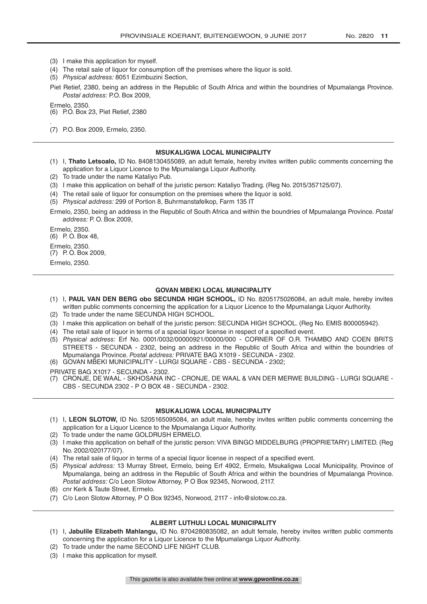- (3) I make this application for myself.
- (4) The retail sale of liquor for consumption off the premises where the liquor is sold.
- (5) *Physical address:* 8051 Ezimbuzini Section,
- Piet Retief, 2380, being an address in the Republic of South Africa and within the boundries of Mpumalanga Province. *Postal address:* P.O. Box 2009,

Ermelo, 2350.

(6) P.O. Box 23, Piet Retief, 2380

. (7) P.O. Box 2009, Ermelo, 2350.

#### **MSUKALIGWA LOCAL MUNICIPALITY**

- (1) I, **Thato Letsoalo,** ID No. 8408130455089, an adult female, hereby invites written public comments concerning the application for a Liquor Licence to the Mpumalanga Liquor Authority.
- (2) To trade under the name Kataliyo Pub.
- (3) I make this application on behalf of the juristic person: Kataliyo Trading. (Reg No. 2015/357125/07).
- (4) The retail sale of liquor for consumption on the premises where the liquor is sold.
- (5) *Physical address:* 299 of Portion 8, Buhrmanstafelkop, Farm 135 IT
- Ermelo, 2350, being an address in the Republic of South Africa and within the boundries of Mpumalanga Province. *Postal address:* P. O. Box 2009,

Ermelo, 2350. (6) P. O. Box 48, Ermelo, 2350. (7) P. O. Box 2009,

Ermelo, 2350.

#### **GOVAN MBEKI LOCAL MUNICIPALITY**

- (1) I, **PAUL VAN DEN BERG obo SECUNDA HIGH SCHOOL,** ID No. 8205175026084, an adult male, hereby invites written public comments concerning the application for a Liquor Licence to the Mpumalanga Liquor Authority.
- (2) To trade under the name SECUNDA HIGH SCHOOL.
- (3) I make this application on behalf of the juristic person: SECUNDA HIGH SCHOOL. (Reg No. EMIS 800005942).
- (4) The retail sale of liquor in terms of a special liquor license in respect of a specified event.
- (5) *Physical address:* Erf No. 0001/0032/00000921/00000/000 CORNER OF O.R. THAMBO AND COEN BRITS STREETS - SECUNDA - 2302, being an address in the Republic of South Africa and within the boundries of Mpumalanga Province. *Postal address:* PRIVATE BAG X1019 - SECUNDA - 2302.
- (6) GOVAN MBEKI MUNICIPALITY LURGI SQUARE CBS SECUNDA 2302;

PRIVATE BAG X1017 - SECUNDA - 2302.

(7) CRONJE, DE WAAL - SKHOSANA INC - CRONJE, DE WAAL & VAN DER MERWE BUILDING - LURGI SQUARE - CBS - SECUNDA 2302 - P O BOX 48 - SECUNDA - 2302.

#### **MSUKALIGWA LOCAL MUNICIPALITY**

- (1) I, **LEON SLOTOW,** ID No. 5205165095084, an adult male, hereby invites written public comments concerning the application for a Liquor Licence to the Mpumalanga Liquor Authority.
- (2) To trade under the name GOLDRUSH ERMELO.
- (3) I make this application on behalf of the juristic person: VIVA BINGO MIDDELBURG (PROPRIETARY) LIMITED. (Reg No. 2002/020177/07).
- (4) The retail sale of liquor in terms of a special liquor license in respect of a specified event.
- (5) *Physical address:* 13 Murray Street, Ermelo, being Erf 4902, Ermelo, Msukaligwa Local Municipality, Province of Mpumalanga, being an address in the Republic of South Africa and within the boundries of Mpumalanga Province. *Postal address:* C/o Leon Slotow Attorney, P O Box 92345, Norwood, 2117.
- (6) cnr Kerk & Taute Street, Ermelo.
- (7) C/o Leon Slotow Attorney, P O Box 92345, Norwood, 2117 info@slotow.co.za.

# **ALBERT LUTHULI LOCAL MUNICIPALITY**

- (1) I, **Jabulile Elizabeth Mahlangu,** ID No. 8704280835082, an adult female, hereby invites written public comments concerning the application for a Liquor Licence to the Mpumalanga Liquor Authority.
- (2) To trade under the name SECOND LIFE NIGHT CLUB.
- (3) I make this application for myself.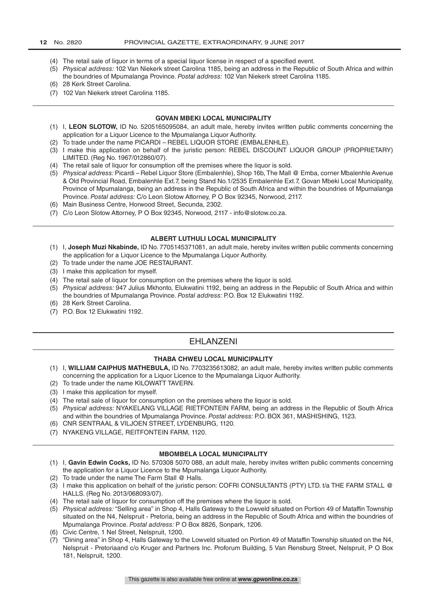- (4) The retail sale of liquor in terms of a special liquor license in respect of a specified event.
- (5) *Physical address:* 102 Van Niekerk street Carolina 1185, being an address in the Republic of South Africa and within the boundries of Mpumalanga Province. *Postal address:* 102 Van Niekerk street Carolina 1185.
- (6) 28 Kerk Street Carolina.
- (7) 102 Van Niekerk street Carolina 1185.

#### **GOVAN MBEKI LOCAL MUNICIPALITY**

- (1) I, **LEON SLOTOW,** ID No. 5205165095084, an adult male, hereby invites written public comments concerning the application for a Liquor Licence to the Mpumalanga Liquor Authority.
- (2) To trade under the name PICARDI REBEL LIQUOR STORE (EMBALENHLE).
- (3) I make this application on behalf of the juristic person: REBEL DISCOUNT LIQUOR GROUP (PROPRIETARY) LIMITED. (Reg No. 1967/012860/07).
- (4) The retail sale of liquor for consumption off the premises where the liquor is sold.
- (5) *Physical address:* Picardi Rebel Liquor Store (Embalenhle), Shop 16b, The Mall @ Emba, corner Mbalenhle Avenue & Old Provincial Road, Embalenhle Ext.7, being Stand No.1/2535 Embalenhle Ext.7, Govan Mbeki Local Municipality, Province of Mpumalanga, being an address in the Republic of South Africa and within the boundries of Mpumalanga Province. *Postal address:* C/o Leon Slotow Attorney, P O Box 92345, Norwood, 2117.
- (6) Main Business Centre, Horwood Street, Secunda, 2302.
- (7) C/o Leon Slotow Attorney, P O Box 92345, Norwood, 2117 info@slotow.co.za.

#### **ALBERT LUTHULI LOCAL MUNICIPALITY**

- (1) I, **Joseph Muzi Nkabinde,** ID No. 7705145371081, an adult male, hereby invites written public comments concerning the application for a Liquor Licence to the Mpumalanga Liquor Authority.
- (2) To trade under the name JOE RESTAURANT.
- (3) I make this application for myself.
- (4) The retail sale of liquor for consumption on the premises where the liquor is sold.
- (5) *Physical address:* 947 Julius Mkhonto, Elukwatini 1192, being an address in the Republic of South Africa and within the boundries of Mpumalanga Province. *Postal address:* P.O. Box 12 Elukwatini 1192.
- (6) 28 Kerk Street Carolina.
- (7) P.O. Box 12 Elukwatini 1192.

# EHLANZENI

#### **THABA CHWEU LOCAL MUNICIPALITY**

- (1) I, **WILLIAM CAIPHUS MATHEBULA,** ID No. 7703235613082, an adult male, hereby invites written public comments concerning the application for a Liquor Licence to the Mpumalanga Liquor Authority.
- (2) To trade under the name KILOWATT TAVERN.
- (3) I make this application for myself.
- (4) The retail sale of liquor for consumption on the premises where the liquor is sold.
- (5) *Physical address:* NYAKELANG VILLAGE RIETFONTEIN FARM, being an address in the Republic of South Africa and within the boundries of Mpumalanga Province. *Postal address:* P.O. BOX 361, MASHISHING, 1123.
- (6) CNR SENTRAAL & VILJOEN STREET, LYDENBURG, 1120.
- (7) NYAKENG VILLAGE, REITFONTEIN FARM, 1120.

#### **MBOMBELA LOCAL MUNICIPALITY**

- (1) I, **Gavin Edwin Cocks,** ID No. 570308 5070 088, an adult male, hereby invites written public comments concerning the application for a Liquor Licence to the Mpumalanga Liquor Authority.
- (2) To trade under the name The Farm Stall @ Halls.
- (3) I make this application on behalf of the juristic person: COFRI CONSULTANTS (PTY) LTD. t/a THE FARM STALL @ HALLS. (Reg No. 2013/068093/07).
- (4) The retail sale of liquor for consumption off the premises where the liquor is sold.
- (5) *Physical address:* "Selling area" in Shop 4, Halls Gateway to the Lowveld situated on Portion 49 of Mataffin Township situated on the N4, Nelspruit - Pretoria, being an address in the Republic of South Africa and within the boundries of Mpumalanga Province. *Postal address:* P O Box 8826, Sonpark, 1206.
- (6) Civic Centre, 1 Nel Street, Nelspruit, 1200.
- (7) "Dining area" in Shop 4, Halls Gateway to the Lowveld situated on Portion 49 of Mataffin Township situated on the N4, Nelspruit - Pretoriaand c/o Kruger and Partners Inc. Proforum Building, 5 Van Rensburg Street, Nelspruit, P O Box 181, Nelspruit, 1200.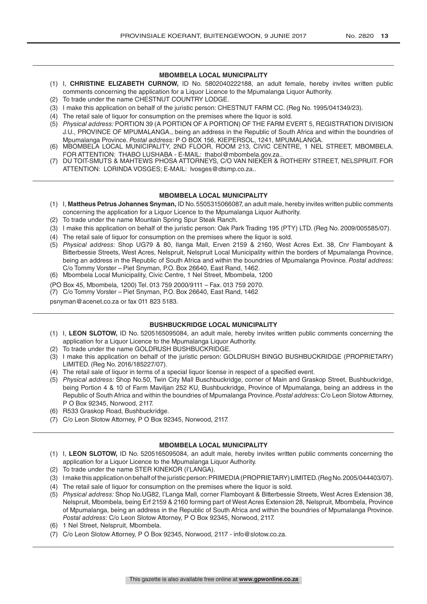#### **MBOMBELA LOCAL MUNICIPALITY**

- (1) I, **CHRISTINE ELIZABETH CURNOW,** ID No. 5802040222188, an adult female, hereby invites written public comments concerning the application for a Liquor Licence to the Mpumalanga Liquor Authority.
- (2) To trade under the name CHESTNUT COUNTRY LODGE.
- (3) I make this application on behalf of the juristic person: CHESTNUT FARM CC. (Reg No. 1995/041349/23).
- (4) The retail sale of liquor for consumption on the premises where the liquor is sold.
- (5) *Physical address:* PORTION 39 (A PORTION OF A PORTION) OF THE FARM EVERT 5, REGISTRATION DIVISION J.U., PROVINCE OF MPUMALANGA., being an address in the Republic of South Africa and within the boundries of Mpumalanga Province. *Postal address:* P O BOX 156, KIEPERSOL, 1241, MPUMALANGA.
- (6) MBOMBELA LOCAL MUNICIPALITY, 2ND FLOOR, ROOM 213, CIVIC CENTRE, 1 NEL STREET, MBOMBELA. FOR ATTENTION: THABO LUSHABA - E-MAIL: thabol@mbombela.gov.za..
- (7) DU TOIT-SMUTS & MAHTEWS PHOSA ATTORNEYS, C/O VAN NIEKER & ROTHERY STREET, NELSPRUIT. FOR ATTENTION: LORINDA VOSGES; E-MAIL: lvosges@dtsmp.co.za..

#### **MBOMBELA LOCAL MUNICIPALITY**

- (1) I, **Mattheus Petrus Johannes Snyman,** ID No. 5505315066087, an adult male, hereby invites written public comments concerning the application for a Liquor Licence to the Mpumalanga Liquor Authority.
- (2) To trade under the name Mountain Spring Spur Steak Ranch.
- (3) I make this application on behalf of the juristic person: Oak Park Trading 195 (PTY) LTD. (Reg No. 2009/005585/07).
- (4) The retail sale of liquor for consumption on the premises where the liquor is sold.
- (5) *Physical address:* Shop UG79 & 80, Ilanga Mall, Erven 2159 & 2160, West Acres Ext. 38, Cnr Flamboyant & Bitterbessie Streets, West Acres, Nelspruit, Nelspruit Local Municipality within the borders of Mpumalanga Province, being an address in the Republic of South Africa and within the boundries of Mpumalanga Province. *Postal address:*  C/o Tommy Vorster – Piet Snyman, P.O. Box 26640, East Rand, 1462.
- (6) Mbombela Local Municipality, Civic Centre, 1 Nel Street, Mbombela, 1200
- (PO Box 45, Mbombela, 1200) Tel. 013 759 2000/9111 Fax. 013 759 2070.
- (7) C/o Tommy Vorster Piet Snyman, P.O. Box 26640, East Rand, 1462

psnyman@acenet.co.za or fax 011 823 5183.

#### **BUSHBUCKRIDGE LOCAL MUNICIPALITY**

- (1) I, **LEON SLOTOW,** ID No. 5205165095084, an adult male, hereby invites written public comments concerning the application for a Liquor Licence to the Mpumalanga Liquor Authority.
- (2) To trade under the name GOLDRUSH BUSHBUCKRIDGE.
- (3) I make this application on behalf of the juristic person: GOLDRUSH BINGO BUSHBUCKRIDGE (PROPRIETARY) LIMITED. (Reg No. 2016/185227/07).
- (4) The retail sale of liquor in terms of a special liquor license in respect of a specified event.
- (5) *Physical address:* Shop No.50, Twin City Mall Buschbuckridge, corner of Main and Graskop Street, Bushbuckridge, being Portion 4 & 10 of Farm Maviljan 252 KU, Bushbuckridge, Province of Mpumalanga, being an address in the Republic of South Africa and within the boundries of Mpumalanga Province. *Postal address:* C/o Leon Slotow Attorney, P O Box 92345, Norwood, 2117.
- (6) R533 Graskop Road, Bushbuckridge.
- (7) C/o Leon Slotow Attorney, P O Box 92345, Norwood, 2117.

#### **MBOMBELA LOCAL MUNICIPALITY**

- (1) I, **LEON SLOTOW,** ID No. 5205165095084, an adult male, hereby invites written public comments concerning the application for a Liquor Licence to the Mpumalanga Liquor Authority.
- (2) To trade under the name STER KINEKOR (I'LANGA).
- (3) I make this application on behalf of the juristic person: PRIMEDIA (PROPRIETARY) LIMITED. (Reg No. 2005/044403/07).
- (4) The retail sale of liquor for consumption on the premises where the liquor is sold.
- (5) *Physical address:* Shop No.UG82, I'Langa Mall, corner Flamboyant & Bitterbessie Streets, West Acres Extension 38, Nelspruit, Mbombela, being Erf 2159 & 2160 forming part of West Acres Extension 28, Nelspruit, Mbombela, Province of Mpumalanga, being an address in the Republic of South Africa and within the boundries of Mpumalanga Province. *Postal address:* C/o Leon Slotow Attorney, P O Box 92345, Norwood, 2117.
- (6) 1 Nel Street, Nelspruit, Mbombela.
- (7) C/o Leon Slotow Attorney, P O Box 92345, Norwood, 2117 info@slotow.co.za.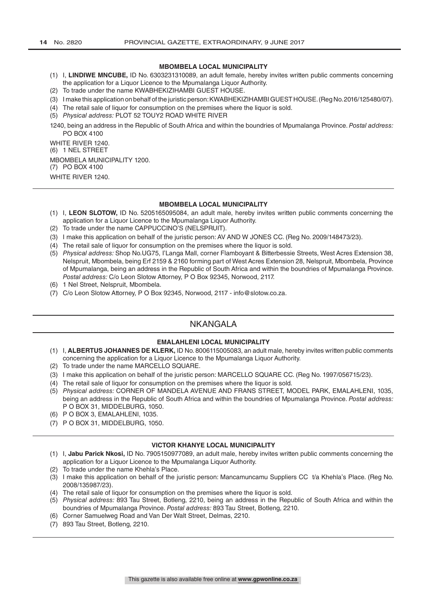#### **MBOMBELA LOCAL MUNICIPALITY**

- (1) I, **LINDIWE MNCUBE,** ID No. 6303231310089, an adult female, hereby invites written public comments concerning the application for a Liquor Licence to the Mpumalanga Liquor Authority.
- (2) To trade under the name KWABHEKIZIHAMBI GUEST HOUSE.
- (3) I make this application on behalf of the juristic person: KWABHEKIZIHAMBI GUEST HOUSE. (Reg No. 2016/125480/07).
- (4) The retail sale of liquor for consumption on the premises where the liquor is sold.
- (5) *Physical address:* PLOT 52 TOUY2 ROAD WHITE RIVER
- 1240, being an address in the Republic of South Africa and within the boundries of Mpumalanga Province. *Postal address:*  PO BOX 4100

WHITE RIVER 1240. (6) 1 NEL STREET MBOMBELA MUNICIPALITY 1200. (7) PO BOX 4100

WHITE RIVER 1240.

#### **MBOMBELA LOCAL MUNICIPALITY**

- (1) I, **LEON SLOTOW,** ID No. 5205165095084, an adult male, hereby invites written public comments concerning the application for a Liquor Licence to the Mpumalanga Liquor Authority.
- (2) To trade under the name CAPPUCCINO'S (NELSPRUIT).
- (3) I make this application on behalf of the juristic person: AV AND W JONES CC. (Reg No. 2009/148473/23).
- (4) The retail sale of liquor for consumption on the premises where the liquor is sold.
- (5) *Physical address:* Shop No.UG75, I'Langa Mall, corner Flamboyant & Bitterbessie Streets, West Acres Extension 38, Nelspruit, Mbombela, being Erf 2159 & 2160 forming part of West Acres Extension 28, Nelspruit, Mbombela, Province of Mpumalanga, being an address in the Republic of South Africa and within the boundries of Mpumalanga Province. *Postal address:* C/o Leon Slotow Attorney, P O Box 92345, Norwood, 2117.
- (6) 1 Nel Street, Nelspruit, Mbombela.
- (7) C/o Leon Slotow Attorney, P O Box 92345, Norwood, 2117 info@slotow.co.za.

# NKANGALA

#### **EMALAHLENI LOCAL MUNICIPALITY**

- (1) I, **ALBERTUS JOHANNES DE KLERK,** ID No. 8006115005083, an adult male, hereby invites written public comments concerning the application for a Liquor Licence to the Mpumalanga Liquor Authority.
- (2) To trade under the name MARCELLO SQUARE.
- (3) I make this application on behalf of the juristic person: MARCELLO SQUARE CC. (Reg No. 1997/056715/23).
- (4) The retail sale of liquor for consumption on the premises where the liquor is sold.
- (5) *Physical address:* CORNER OF MANDELA AVENUE AND FRANS STREET, MODEL PARK, EMALAHLENI, 1035, being an address in the Republic of South Africa and within the boundries of Mpumalanga Province. *Postal address:*  P O BOX 31, MIDDELBURG, 1050.
- (6) P O BOX 3, EMALAHLENI, 1035.
- (7) P O BOX 31, MIDDELBURG, 1050.

#### **VICTOR KHANYE LOCAL MUNICIPALITY**

- (1) I, **Jabu Parick Nkosi,** ID No. 7905150977089, an adult male, hereby invites written public comments concerning the application for a Liquor Licence to the Mpumalanga Liquor Authority.
- (2) To trade under the name Khehla's Place.
- (3) I make this application on behalf of the juristic person: Mancamuncamu Suppliers CC t/a Khehla's Place. (Reg No. 2008/135987/23).
- (4) The retail sale of liquor for consumption on the premises where the liquor is sold.
- (5) *Physical address:* 893 Tau Street, Botleng, 2210, being an address in the Republic of South Africa and within the boundries of Mpumalanga Province. *Postal address:* 893 Tau Street, Botleng, 2210.
- (6) Corner Samuelweg Road and Van Der Walt Street, Delmas, 2210.
- (7) 893 Tau Street, Botleng, 2210.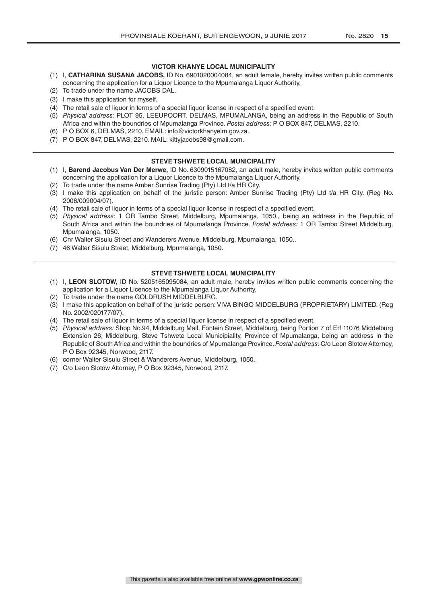#### **VICTOR KHANYE LOCAL MUNICIPALITY**

- (1) I, **CATHARINA SUSANA JACOBS,** ID No. 6901020004084, an adult female, hereby invites written public comments concerning the application for a Liquor Licence to the Mpumalanga Liquor Authority.
- (2) To trade under the name JACOBS DAL.
- (3) I make this application for myself.
- (4) The retail sale of liquor in terms of a special liquor license in respect of a specified event.
- (5) *Physical address:* PLOT 95, LEEUPOORT, DELMAS, MPUMALANGA, being an address in the Republic of South Africa and within the boundries of Mpumalanga Province. *Postal address:* P O BOX 847, DELMAS, 2210.
- (6) P O BOX 6, DELMAS, 2210. EMAIL: info@victorkhanyelm.gov.za.
- (7) P O BOX 847, DELMAS, 2210. MAIL: kittyjacobs98@gmail.com.

#### **STEVE TSHWETE LOCAL MUNICIPALITY**

- (1) I, **Barend Jacobus Van Der Merwe,** ID No. 6309015167082, an adult male, hereby invites written public comments concerning the application for a Liquor Licence to the Mpumalanga Liquor Authority.
- (2) To trade under the name Amber Sunrise Trading (Pty) Ltd t/a HR City.
- (3) I make this application on behalf of the juristic person: Amber Sunrise Trading (Pty) Ltd t/a HR City. (Reg No. 2006/009004/07).
- (4) The retail sale of liquor in terms of a special liquor license in respect of a specified event.
- (5) *Physical address:* 1 OR Tambo Street, Middelburg, Mpumalanga, 1050., being an address in the Republic of South Africa and within the boundries of Mpumalanga Province. *Postal address:* 1 OR Tambo Street Middelburg, Mpumalanga, 1050.
- (6) Cnr Walter Sisulu Street and Wanderers Avenue, Middelburg, Mpumalanga, 1050..
- (7) 46 Walter Sisulu Street, Middelburg, Mpumalanga, 1050.

#### **STEVE TSHWETE LOCAL MUNICIPALITY**

- (1) I, **LEON SLOTOW,** ID No. 5205165095084, an adult male, hereby invites written public comments concerning the application for a Liquor Licence to the Mpumalanga Liquor Authority.
- (2) To trade under the name GOLDRUSH MIDDELBURG.
- (3) I make this application on behalf of the juristic person: VIVA BINGO MIDDELBURG (PROPRIETARY) LIMITED. (Reg No. 2002/020177/07).
- (4) The retail sale of liquor in terms of a special liquor license in respect of a specified event.
- (5) *Physical address:* Shop No.94, Middelburg Mall, Fontein Street, Middelburg, being Portion 7 of Erf 11076 Middelburg Extension 26, Middelburg, Steve Tshwete Local Municipiality, Province of Mpumalanga, being an address in the Republic of South Africa and within the boundries of Mpumalanga Province. *Postal address:* C/o Leon Slotow Attorney, P O Box 92345, Norwood, 2117.
- (6) corner Walter Sisulu Street & Wanderers Avenue, Middelburg, 1050.
- (7) C/o Leon Slotow Attorney, P O Box 92345, Norwood, 2117.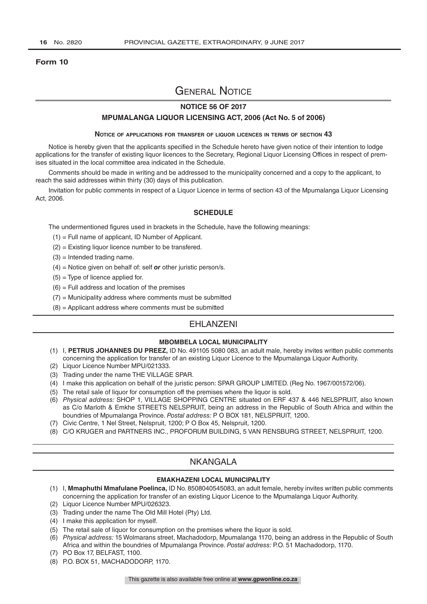#### **Form 10**

# General Notice

## **NOTICE 56 OF 2017**

#### **MPUMALANGA LIQUOR LICENSING ACT, 2006 (Act No. 5 of 2006)**

#### **Notice of applications for transfer of liquor licences in terms of section 43**

Notice is hereby given that the applicants specified in the Schedule hereto have given notice of their intention to lodge applications for the transfer of existing liquor licences to the Secretary, Regional Liquor Licensing Offices in respect of premises situated in the local committee area indicated in the Schedule.

Comments should be made in writing and be addressed to the municipality concerned and a copy to the applicant, to reach the said addresses within thirty (30) days of this publication.

Invitation for public comments in respect of a Liquor Licence in terms of section 43 of the Mpumalanga Liquor Licensing Act, 2006.

#### **SCHEDULE**

The undermentioned figures used in brackets in the Schedule, have the following meanings:

- (1) = Full name of applicant, ID Number of Applicant.
- (2) = Existing liquor licence number to be transfered.
- $(3)$  = Intended trading name.
- (4) = Notice given on behalf of: self *or* other juristic person/s.
- $(5)$  = Type of licence applied for.
- $(6)$  = Full address and location of the premises
- $(7)$  = Municipality address where comments must be submitted
- $(8)$  = Applicant address where comments must be submitted

# EHLANZENI

#### **MBOMBELA LOCAL MUNICIPALITY**

- (1) I, **PETRUS JOHANNES DU PREEZ,** ID No. 491105 5080 083, an adult male, hereby invites written public comments concerning the application for transfer of an existing Liquor Licence to the Mpumalanga Liquor Authority.
- (2) Liquor Licence Number MPU/021333.
- (3) Trading under the name THE VILLAGE SPAR.
- (4) I make this application on behalf of the juristic person: SPAR GROUP LIMITED. (Reg No. 1967/001572/06).
- (5) The retail sale of liquor for consumption off the premises where the liquor is sold.
- (6) *Physical address:* SHOP 1, VILLAGE SHOPPING CENTRE situated on ERF 437 & 446 NELSPRUIT, also known as C/o Marloth & Emkhe STREETS NELSPRUIT, being an address in the Republic of South Africa and within the boundries of Mpumalanga Province. *Postal address:* P O BOX 181, NELSPRUIT, 1200.
- (7) Civic Centre, 1 Nel Street, Nelspruit, 1200; P O Box 45, Nelspruit, 1200.
- (8) C/O KRUGER and PARTNERS INC., PROFORUM BUILDING, 5 VAN RENSBURG STREET, NELSPRUIT, 1200.

# NKANGALA

#### **EMAKHAZENI LOCAL MUNICIPALITY**

- (1) I, **Mmaphuthi Mmafulane Poelinca,** ID No. 8508040545083, an adult female, hereby invites written public comments concerning the application for transfer of an existing Liquor Licence to the Mpumalanga Liquor Authority.
- (2) Liquor Licence Number MPU/026323.
- (3) Trading under the name The Old Mill Hotel (Pty) Ltd.
- (4) I make this application for myself.
- (5) The retail sale of liquor for consumption on the premises where the liquor is sold.
- (6) *Physical address:* 15 Wolmarans street, Machadodorp, Mpumalanga 1170, being an address in the Republic of South Africa and within the boundries of Mpumalanga Province. *Postal address:* P.O. 51 Machadodorp, 1170.
- (7) PO Box 17, BELFAST, 1100.
- (8) P.O. BOX 51, MACHADODORP, 1170.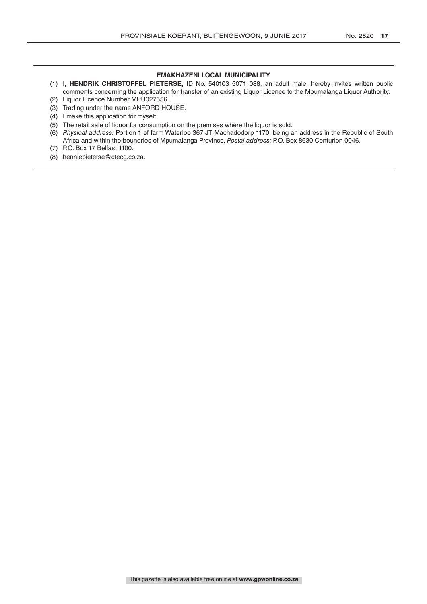### **EMAKHAZENI LOCAL MUNICIPALITY**

- (1) I, **HENDRIK CHRISTOFFEL PIETERSE,** ID No. 540103 5071 088, an adult male, hereby invites written public comments concerning the application for transfer of an existing Liquor Licence to the Mpumalanga Liquor Authority. (2) Liquor Licence Number MPU027556.
- (3) Trading under the name ANFORD HOUSE.
- (4) I make this application for myself.
- (5) The retail sale of liquor for consumption on the premises where the liquor is sold.
- (6) *Physical address:* Portion 1 of farm Waterloo 367 JT Machadodorp 1170, being an address in the Republic of South Africa and within the boundries of Mpumalanga Province. *Postal address:* P.O. Box 8630 Centurion 0046.
- (7) P.O. Box 17 Belfast 1100.
- (8) henniepieterse@ctecg.co.za.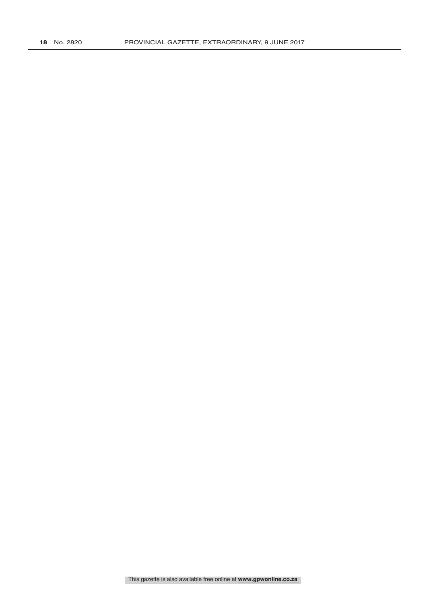This gazette is also available free online at **www.gpwonline.co.za**